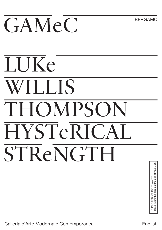# GAMeC

**BERGAMO** 

## **IJKe WILLIS** THOMPSON HYSTeRICAL **STReNGTH**

Galleria d'Arte Moderna e Contemporanea English<br>Galleria d'Arte Moderna e Contemporanea English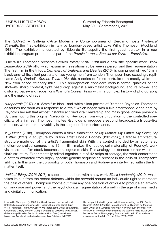Curated by Edoardo Bonaspetti May 30 — September 1, 2019

The GAMeC — Galleria d'Arte Moderna e Contemporanea of Bergamo hosts *Hysterical Strength*, the first exhibition in Italy by London-based artist Luke Willis Thompson (Auckland, 1988). The exhibition is curated by Edoardo Bonaspetti, the first guest curator in a new exhibition program promoted as part of the *Premio Lorenzo Bonaldi per l'Arte* — *EnterPrize.*

Luke Willis Thompson presents *Untitled Trilogy (2016-2018)* and a new site-specific work, *Black Leadership* (2019), all of which examine the relationship between a person and their representation. The first film in the trilogy, *Cemetery of Uniforms and Liveries* (2016), is comprised of two 16mm, black-and-white, silent portraits of two young men from London. Thompson here exactingly replicates Andy Warhol's *Screen Tests* (1964-66), a series of filmed portraits of a mostly white and New York-based celebrity milieu. This appropriation considers various formal qualities of the shot—its sharp contrast, tight head crop against a minimalist background, and its slowed and distorted pace—and repositions Warhol's *Screen Tests* within a complex history of photography and the making of race.

<sup>a</sup>*utoportrait* (2017) is a 35mm film black-and-white silent portrait of Diamond Reynolds. Thompson describes the work as a response to a "call" which began with a live smartphone video shot by Reynolds herself that almost instantly accrued viral viewership and mass global online presence. By transmuting this original "celebrity" of Reynolds from wide circulation to the controlled specificity of a film set, Thompson invites Reynolds to produce a second broadcast, a tribute-like rendition, where her survivability is the subject of her performance.

In *\_Human* (2018), Thompson enacts a filmic translation of *My Mother, My Father, My Sister, My Brother* (1997), a sculpture by British artist Donald Rodney (1961-1998), a fragile architectural structure made out of the artist's fragmented skin. With the control afforded by an automated motion-controlled camera, this 35mm film makes the ideological materiality of Rodney's work visible so that film stock becomes analogous to skin. This analogy is extended further within the film's structure. Experimentally edited together out of 42 strips of footage, the work conforms to a pattern extracted from highly specific genetic sequencing present in the cells of Thompson's siblings. In this way, the corporality of both Thompson and Rodney are intertwined within the film matter itself.

*Untitled Trilogy (2016-2018)* is supplemented here with a new work, *Black Leadership* (2019), which takes its cue from the recent debates within the artworld around an individual's right to represent the pain of others. Thompson zooms out from any one position of critique to produce an artwork on language and power, and the psychological fragmentation of a self in the age of mass media and digital communication.

Luke Willis Thompson (b. 1988, Auckland) lives and works in London. Selected solo exhibitions include *\_Human*, Kunsthalle Basel; Luke Willis Thompson, Adam Art Gallery, Wellington (both 2018); *autoportrait*, Chisenhale Gallery, London (2017); *Cemetery of Uniforms and Liveries*, Galerie Nagel Draxler, Berlin; *Sucu Mate/Born Dead*, Hopkinson Mossman, Auckland; and *Misadventure*, IMA, Brisbane (all 2016).

He has participated in group exhibitions including the 10th Berlin Biennale (2018); 32nd São Paulo Biennial; La Biennale de Montréal (both 2016); and *Surround Audience*, New Museum Triennial, New York (2015). Thompson was awarded the Walters' Prize in 2014, the Deutsche Börse Photography Foundation Prize in 2018, and was a nominee for the 34th Turner Prize (2018-2019).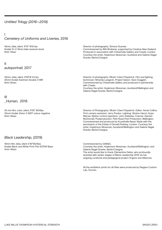### *Untitled Trilogy (2016—2018)*

### I *Cemetery of Uniforms and Liveries,* 2016

16mm, b&w, silent, 9'10" @16 fps Kodak Tri-X 16mm b&w reversal stock 9min 10sec

II *autoportrait,* 2017

35mm, b&w, silent. 8'50"@ 24 fps 35mm Kodak Eastman Double-X BW 8min 50sec

Director of photography: Simona Susnea.

Commissioned by IMA Brisbane, supported by Creative New Zealand. Produced in association with Chisenhale Gallery and Create, London. Courtesy the artist, Hopkinson Mossman, Auckland and Galerie Nagel Draxler, Berlin/Cologne.

Director of photography: Mhairi-Clare Fitzpatrick. Film and lighting technician: Miranda Langevin. Project liaison: Sara Cluggish. Commissioned by Chisenhale Gallery and produced in partnership with Create.

Courtesy the artist, Hopkinson Mossman, Auckland/Wellington and Galerie Nagel Draxler, Berlin/Cologne.

### III *\_Human,* 2018

35 mm film, color, silent, 9'30'' @24fps 35mm Kodak Vision 3 500T colour negative 9min 30sec

Director of Photography: Mhairi-Clare Fitzpatrick. Editor: Annie Collins. First camera assistant: Jerry Pradon. Lighting: Straton Heron, Kupa Warner. Motion control operation: John Adderley. Colorist: Damian McDonnell. Postproduction: Park Road Post Production, Wellington. Commissioned and produced by Kunsthalle Basel. Made with the permission of the Estate of Donald Rodney, London. Courtesy the artist, Hopkinson Mossman, Auckland/Wellington and Galerie Nagel Draxler, Berlin/Cologne.

### *Black Leadership,* (2019)

16mm film, b&w, silent 2'40"@24fps Kodak Black and White Print Film ESTAR Base 2min 40sec

Commissioned by GAMeC. Courtesy the artist; Hopkinson Mossman, Auckland/Wellington; and Galerie Nagel Draxler, Berlin/Cologne. The artist would like to thank Clémentine Deliss, who profoundly assisted with earlier stages of Black Leadership 2019 via her ongoing curatorial and pedagogical project Organs and Alliances.

All the exhibition prints for all titles were produced by Niagara Custom Lab, Toronto.